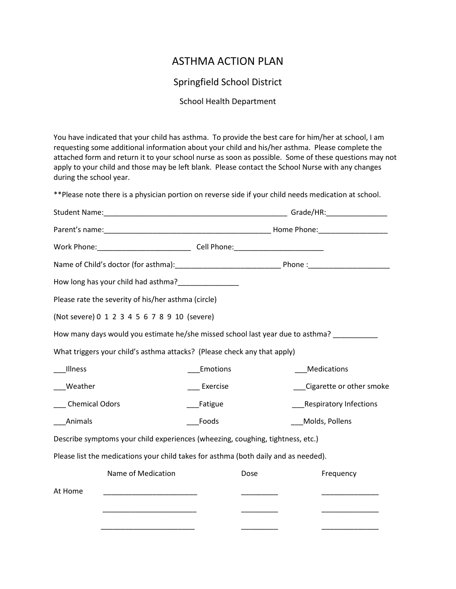## ASTHMA ACTION PLAN

## Springfield School District

## School Health Department

You have indicated that your child has asthma. To provide the best care for him/her at school, I am requesting some additional information about your child and his/her asthma. Please complete the attached form and return it to your school nurse as soon as possible. Some of these questions may not apply to your child and those may be left blank. Please contact the School Nurse with any changes during the school year.

\*\*Please note there is a physician portion on reverse side if your child needs medication at school.

|                                                                                     |          |      | Grade/HR: ________________    |
|-------------------------------------------------------------------------------------|----------|------|-------------------------------|
|                                                                                     |          |      |                               |
|                                                                                     |          |      |                               |
|                                                                                     |          |      |                               |
|                                                                                     |          |      |                               |
| Please rate the severity of his/her asthma (circle)                                 |          |      |                               |
| (Not severe) 0 1 2 3 4 5 6 7 8 9 10 (severe)                                        |          |      |                               |
| How many days would you estimate he/she missed school last year due to asthma?      |          |      |                               |
| What triggers your child's asthma attacks? (Please check any that apply)            |          |      |                               |
| Illness                                                                             | Emotions |      | Medications                   |
| Weather                                                                             | Exercise |      | Cigarette or other smoke      |
| <b>Chemical Odors</b>                                                               | Fatigue  |      | <b>Respiratory Infections</b> |
| Animals                                                                             | Foods    |      | Molds, Pollens                |
| Describe symptoms your child experiences (wheezing, coughing, tightness, etc.)      |          |      |                               |
| Please list the medications your child takes for asthma (both daily and as needed). |          |      |                               |
| Name of Medication                                                                  |          | Dose | Frequency                     |
| At Home<br><u> 1989 - Johann John Barn, mars ar brenin bestemmen (</u>              |          |      |                               |
|                                                                                     |          |      |                               |
|                                                                                     |          |      |                               |